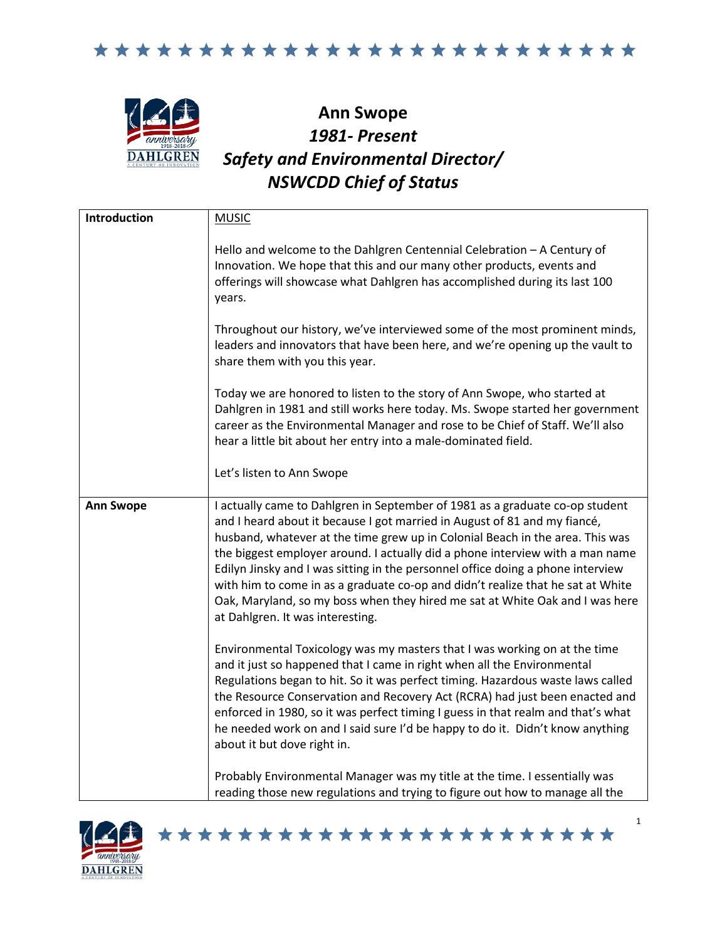



## **Ann Swope** *1981- Present Safety and Environmental Director/ NSWCDD Chief of Status*

| Introduction     | <b>MUSIC</b>                                                                                                                                                                                                                                                                                                                                                                                                                                                                                                                                                                                                          |
|------------------|-----------------------------------------------------------------------------------------------------------------------------------------------------------------------------------------------------------------------------------------------------------------------------------------------------------------------------------------------------------------------------------------------------------------------------------------------------------------------------------------------------------------------------------------------------------------------------------------------------------------------|
|                  | Hello and welcome to the Dahlgren Centennial Celebration - A Century of<br>Innovation. We hope that this and our many other products, events and<br>offerings will showcase what Dahlgren has accomplished during its last 100<br>years.                                                                                                                                                                                                                                                                                                                                                                              |
|                  | Throughout our history, we've interviewed some of the most prominent minds,<br>leaders and innovators that have been here, and we're opening up the vault to<br>share them with you this year.                                                                                                                                                                                                                                                                                                                                                                                                                        |
|                  | Today we are honored to listen to the story of Ann Swope, who started at<br>Dahlgren in 1981 and still works here today. Ms. Swope started her government<br>career as the Environmental Manager and rose to be Chief of Staff. We'll also<br>hear a little bit about her entry into a male-dominated field.                                                                                                                                                                                                                                                                                                          |
|                  | Let's listen to Ann Swope                                                                                                                                                                                                                                                                                                                                                                                                                                                                                                                                                                                             |
| <b>Ann Swope</b> | I actually came to Dahlgren in September of 1981 as a graduate co-op student<br>and I heard about it because I got married in August of 81 and my fiancé,<br>husband, whatever at the time grew up in Colonial Beach in the area. This was<br>the biggest employer around. I actually did a phone interview with a man name<br>Edilyn Jinsky and I was sitting in the personnel office doing a phone interview<br>with him to come in as a graduate co-op and didn't realize that he sat at White<br>Oak, Maryland, so my boss when they hired me sat at White Oak and I was here<br>at Dahlgren. It was interesting. |
|                  | Environmental Toxicology was my masters that I was working on at the time<br>and it just so happened that I came in right when all the Environmental<br>Regulations began to hit. So it was perfect timing. Hazardous waste laws called<br>the Resource Conservation and Recovery Act (RCRA) had just been enacted and<br>enforced in 1980, so it was perfect timing I guess in that realm and that's what<br>he needed work on and I said sure I'd be happy to do it. Didn't know anything<br>about it but dove right in.                                                                                            |
|                  | Probably Environmental Manager was my title at the time. I essentially was<br>reading those new regulations and trying to figure out how to manage all the                                                                                                                                                                                                                                                                                                                                                                                                                                                            |

\*\*\*\*\*\*\*\*\*\*\*\*\*\*\*\*\*\*\*\*\*\*\*

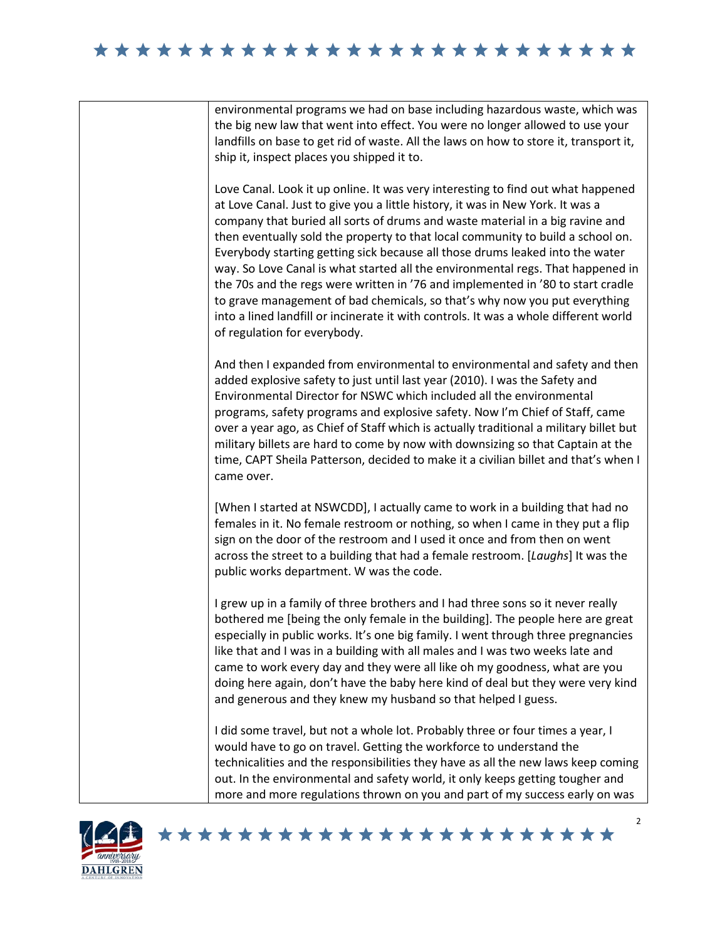## 

environmental programs we had on base including hazardous waste, which was the big new law that went into effect. You were no longer allowed to use your landfills on base to get rid of waste. All the laws on how to store it, transport it, ship it, inspect places you shipped it to.

Love Canal. Look it up online. It was very interesting to find out what happened at Love Canal. Just to give you a little history, it was in New York. It was a company that buried all sorts of drums and waste material in a big ravine and then eventually sold the property to that local community to build a school on. Everybody starting getting sick because all those drums leaked into the water way. So Love Canal is what started all the environmental regs. That happened in the 70s and the regs were written in '76 and implemented in '80 to start cradle to grave management of bad chemicals, so that's why now you put everything into a lined landfill or incinerate it with controls. It was a whole different world of regulation for everybody.

And then I expanded from environmental to environmental and safety and then added explosive safety to just until last year (2010). I was the Safety and Environmental Director for NSWC which included all the environmental programs, safety programs and explosive safety. Now I'm Chief of Staff, came over a year ago, as Chief of Staff which is actually traditional a military billet but military billets are hard to come by now with downsizing so that Captain at the time, CAPT Sheila Patterson, decided to make it a civilian billet and that's when I came over.

[When I started at NSWCDD], I actually came to work in a building that had no females in it. No female restroom or nothing, so when I came in they put a flip sign on the door of the restroom and I used it once and from then on went across the street to a building that had a female restroom. [*Laughs*] It was the public works department. W was the code.

I grew up in a family of three brothers and I had three sons so it never really bothered me [being the only female in the building]. The people here are great especially in public works. It's one big family. I went through three pregnancies like that and I was in a building with all males and I was two weeks late and came to work every day and they were all like oh my goodness, what are you doing here again, don't have the baby here kind of deal but they were very kind and generous and they knew my husband so that helped I guess.

I did some travel, but not a whole lot. Probably three or four times a year, I would have to go on travel. Getting the workforce to understand the technicalities and the responsibilities they have as all the new laws keep coming out. In the environmental and safety world, it only keeps getting tougher and more and more regulations thrown on you and part of my success early on was

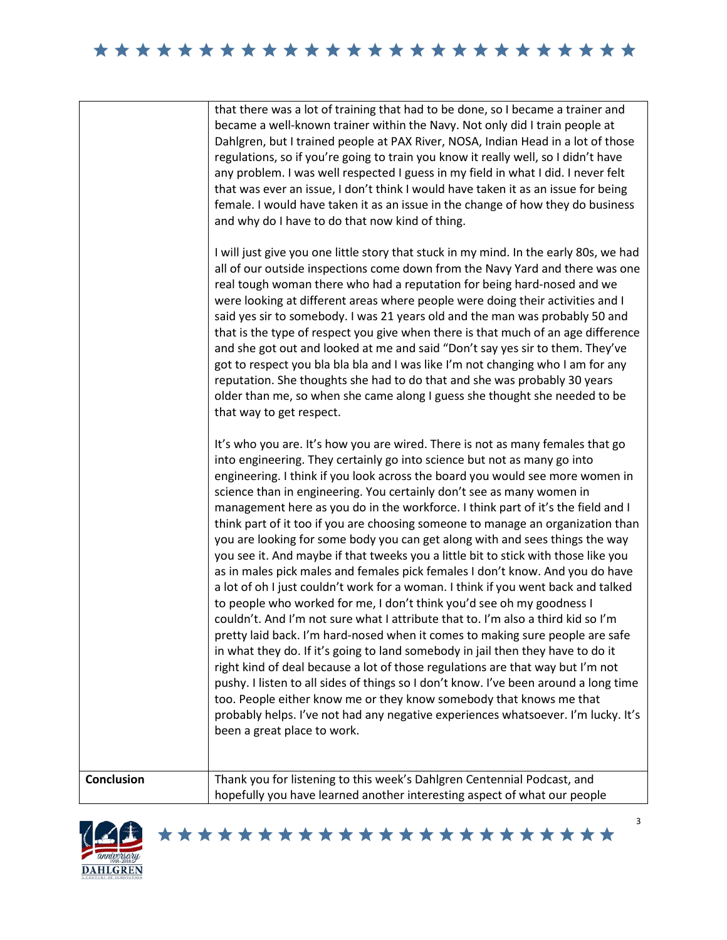## \*\*\*\*\*\*\*\*\*\*\*\*\*\*\*\*\*\*\*\*\*\*\*\*\*

| <b>Conclusion</b> | Thank you for listening to this week's Dahlgren Centennial Podcast, and<br>hopefully you have learned another interesting aspect of what our people                                                                                                                                                                                                                                                                                                                                                                                                                                                                                                                                                                                                                                                                                                                                                                                                                                                                                                                                                                                                                                                                                                                                                                                                                                                                                                                                                                                                                                                                                                                                                                                                                                                                     |
|-------------------|-------------------------------------------------------------------------------------------------------------------------------------------------------------------------------------------------------------------------------------------------------------------------------------------------------------------------------------------------------------------------------------------------------------------------------------------------------------------------------------------------------------------------------------------------------------------------------------------------------------------------------------------------------------------------------------------------------------------------------------------------------------------------------------------------------------------------------------------------------------------------------------------------------------------------------------------------------------------------------------------------------------------------------------------------------------------------------------------------------------------------------------------------------------------------------------------------------------------------------------------------------------------------------------------------------------------------------------------------------------------------------------------------------------------------------------------------------------------------------------------------------------------------------------------------------------------------------------------------------------------------------------------------------------------------------------------------------------------------------------------------------------------------------------------------------------------------|
|                   | got to respect you bla bla bla and I was like I'm not changing who I am for any<br>reputation. She thoughts she had to do that and she was probably 30 years<br>older than me, so when she came along I guess she thought she needed to be<br>that way to get respect.<br>It's who you are. It's how you are wired. There is not as many females that go<br>into engineering. They certainly go into science but not as many go into<br>engineering. I think if you look across the board you would see more women in<br>science than in engineering. You certainly don't see as many women in<br>management here as you do in the workforce. I think part of it's the field and I<br>think part of it too if you are choosing someone to manage an organization than<br>you are looking for some body you can get along with and sees things the way<br>you see it. And maybe if that tweeks you a little bit to stick with those like you<br>as in males pick males and females pick females I don't know. And you do have<br>a lot of oh I just couldn't work for a woman. I think if you went back and talked<br>to people who worked for me, I don't think you'd see oh my goodness I<br>couldn't. And I'm not sure what I attribute that to. I'm also a third kid so I'm<br>pretty laid back. I'm hard-nosed when it comes to making sure people are safe<br>in what they do. If it's going to land somebody in jail then they have to do it<br>right kind of deal because a lot of those regulations are that way but I'm not<br>pushy. I listen to all sides of things so I don't know. I've been around a long time<br>too. People either know me or they know somebody that knows me that<br>probably helps. I've not had any negative experiences whatsoever. I'm lucky. It's<br>been a great place to work. |
|                   | and why do I have to do that now kind of thing.<br>I will just give you one little story that stuck in my mind. In the early 80s, we had<br>all of our outside inspections come down from the Navy Yard and there was one<br>real tough woman there who had a reputation for being hard-nosed and we<br>were looking at different areas where people were doing their activities and I<br>said yes sir to somebody. I was 21 years old and the man was probably 50 and<br>that is the type of respect you give when there is that much of an age difference<br>and she got out and looked at me and said "Don't say yes sir to them. They've                                                                                                                                                                                                                                                                                                                                                                                                                                                                                                                                                                                                                                                                                                                                                                                                                                                                                                                                                                                                                                                                                                                                                                            |
|                   | that there was a lot of training that had to be done, so I became a trainer and<br>became a well-known trainer within the Navy. Not only did I train people at<br>Dahlgren, but I trained people at PAX River, NOSA, Indian Head in a lot of those<br>regulations, so if you're going to train you know it really well, so I didn't have<br>any problem. I was well respected I guess in my field in what I did. I never felt<br>that was ever an issue, I don't think I would have taken it as an issue for being<br>female. I would have taken it as an issue in the change of how they do business                                                                                                                                                                                                                                                                                                                                                                                                                                                                                                                                                                                                                                                                                                                                                                                                                                                                                                                                                                                                                                                                                                                                                                                                                   |





3